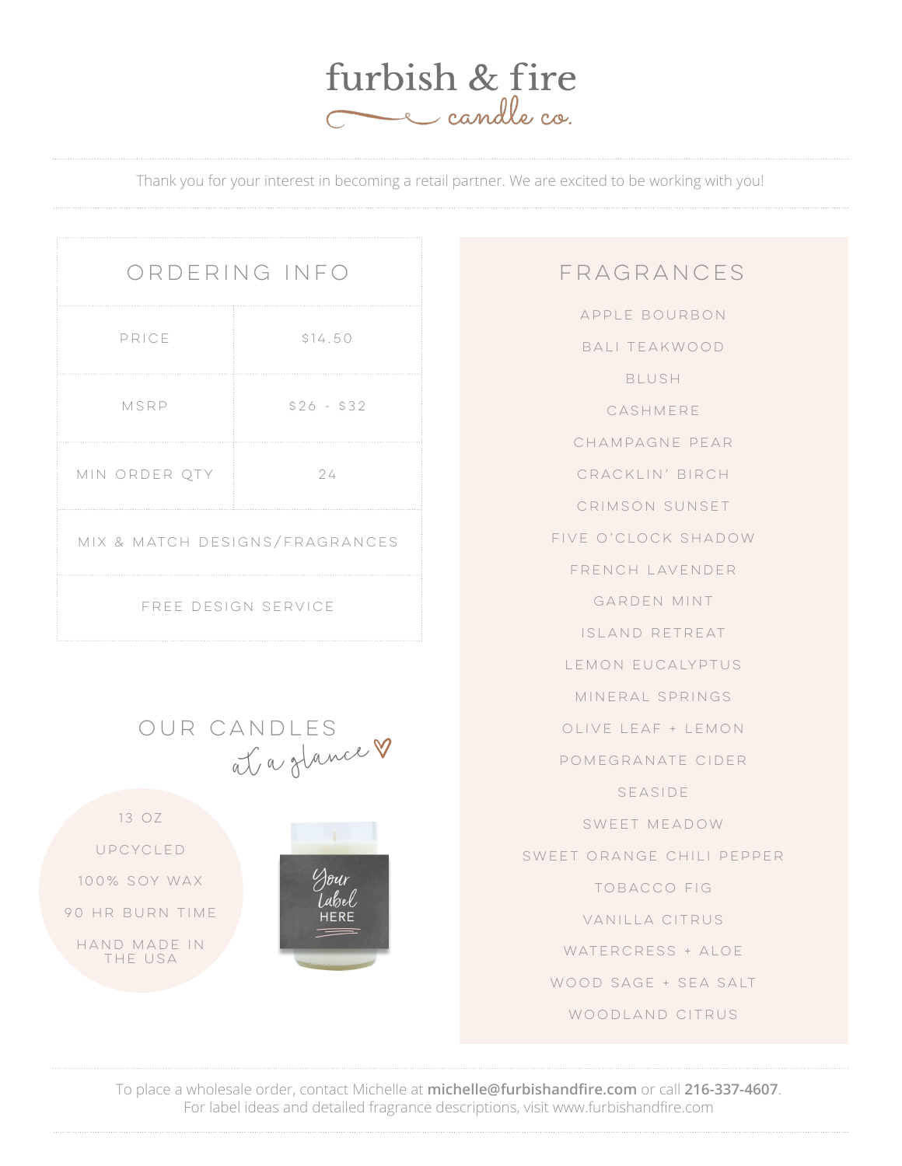

Thank you for your interest in becoming a retail partner. We are excited to be working with you!

| ORDERING INFO                  |             |
|--------------------------------|-------------|
| PRICE                          | \$14.50     |
| MSRP                           | $$26 - $32$ |
| MIN ORDER QTY                  | 24          |
| MIX & MATCH DESIGNS/FRAGRANCES |             |
| FREE DESIGN SERVICE            |             |

### Our candles at a glanceE 13 oz

Dour abel **HERE** 

Upcycled

100% soy wax

90 hr burn time

hand made in THE USA

#### fragrances

Apple Bourbon Bali Teakwood Blush CASHMERE Champagne Pear Cracklin' Birch Crimson Sunset Five O'clock Shadow French Lavender Garden Mint Island Retreat Lemon Eucalyptus Mineral Springs Olive Leaf + Lemon Pomegranate Cider Seaside Sweet Meadow Sweet Orange Chili Pepper Tobacco Fig Vanilla Citrus WATERCRESS + ALOE Wood Sage + Sea Salt WOODLAND CITRUS

To place a wholesale order, contact Michelle at **michelle@furbishandfire.com** or call **216-337-4607**. For label ideas and detailed fragrance descriptions, visit www.furbishandfire.com